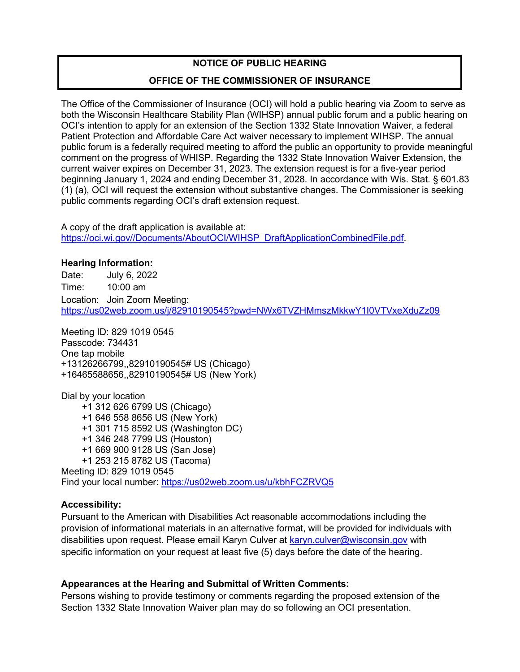## **NOTICE OF PUBLIC HEARING**

## **OFFICE OF THE COMMISSIONER OF INSURANCE**

The Office of the Commissioner of Insurance (OCI) will hold a public hearing via Zoom to serve as both the Wisconsin Healthcare Stability Plan (WIHSP) annual public forum and a public hearing on OCI's intention to apply for an extension of the Section 1332 State Innovation Waiver, a federal Patient Protection and Affordable Care Act waiver necessary to implement WIHSP. The annual public forum is a federally required meeting to afford the public an opportunity to provide meaningful comment on the progress of WHISP. Regarding the 1332 State Innovation Waiver Extension, the current waiver expires on December 31, 2023. The extension request is for a five-year period beginning January 1, 2024 and ending December 31, 2028. In accordance with Wis. Stat. § 601.83 (1) (a), OCI will request the extension without substantive changes. The Commissioner is seeking public comments regarding OCI's draft extension request.

A copy of the draft application is available at: [https://oci.wi.gov//Documents/AboutOCI/WIHSP\\_DraftApplicationCombinedFile.pdf.](https://oci.wi.gov/Documents/AboutOCI/WIHSP_DraftApplicationCombinedFile.pdf)

#### **Hearing Information:**

Date: July 6, 2022 Time: 10:00 am Location: Join Zoom Meeting: <https://us02web.zoom.us/j/82910190545?pwd=NWx6TVZHMmszMkkwY1I0VTVxeXduZz09>

Meeting ID: 829 1019 0545 Passcode: 734431 One tap mobile +13126266799,,82910190545# US (Chicago) +16465588656,,82910190545# US (New York)

Dial by your location +1 312 626 6799 US (Chicago) +1 646 558 8656 US (New York) +1 301 715 8592 US (Washington DC) +1 346 248 7799 US (Houston) +1 669 900 9128 US (San Jose) +1 253 215 8782 US (Tacoma) Meeting ID: 829 1019 0545 Find your local number:<https://us02web.zoom.us/u/kbhFCZRVQ5>

#### **Accessibility:**

Pursuant to the American with Disabilities Act reasonable accommodations including the provision of informational materials in an alternative format, will be provided for individuals with disabilities upon request. Please email Karyn Culver at [karyn.culver@wisconsin.gov](mailto:karyn.culver@wisconsin.gov) with specific information on your request at least five (5) days before the date of the hearing.

## **Appearances at the Hearing and Submittal of Written Comments:**

Persons wishing to provide testimony or comments regarding the proposed extension of the Section 1332 State Innovation Waiver plan may do so following an OCI presentation.